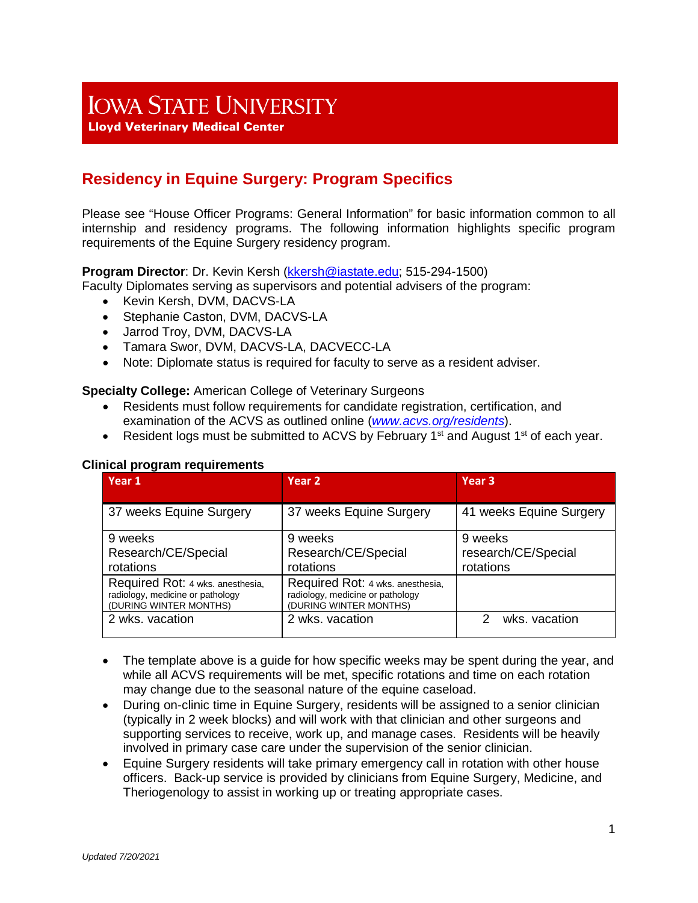# **IOWA STATE UNIVERSITY**

**Lloyd Veterinary Medical Center** 

## **Residency in Equine Surgery: Program Specifics**

Please see "House Officer Programs: General Information" for basic information common to all internship and residency programs. The following information highlights specific program requirements of the Equine Surgery residency program.

**Program Director**: Dr. Kevin Kersh [\(kkersh@iastate.edu;](mailto:kkersh@iastate.edu) 515-294-1500)

Faculty Diplomates serving as supervisors and potential advisers of the program:

- Kevin Kersh, DVM, DACVS-LA
- Stephanie Caston, DVM, DACVS-LA
- Jarrod Troy, DVM, DACVS-LA
- Tamara Swor, DVM, DACVS-LA, DACVECC-LA
- Note: Diplomate status is required for faculty to serve as a resident adviser.

**Specialty College:** American College of Veterinary Surgeons

- Residents must follow requirements for candidate registration, certification, and examination of the ACVS as outlined online (*[www.acvs.org/residents](http://www.acvs.org/residents)*).
- Resident logs must be submitted to ACVS by February 1<sup>st</sup> and August 1<sup>st</sup> of each year.

| Year 1                                                                                         | Year <sub>2</sub>                                                                              | Year <sub>3</sub>                           |
|------------------------------------------------------------------------------------------------|------------------------------------------------------------------------------------------------|---------------------------------------------|
| 37 weeks Equine Surgery                                                                        | 37 weeks Equine Surgery                                                                        | 41 weeks Equine Surgery                     |
| 9 weeks<br>Research/CE/Special<br>rotations                                                    | 9 weeks<br>Research/CE/Special<br>rotations                                                    | 9 weeks<br>research/CE/Special<br>rotations |
| Required Rot: 4 wks. anesthesia,<br>radiology, medicine or pathology<br>(DURING WINTER MONTHS) | Required Rot: 4 wks. anesthesia,<br>radiology, medicine or pathology<br>(DURING WINTER MONTHS) |                                             |
| 2 wks. vacation                                                                                | 2 wks. vacation                                                                                | wks. vacation                               |

#### **Clinical program requirements**

- The template above is a quide for how specific weeks may be spent during the year, and while all ACVS requirements will be met, specific rotations and time on each rotation may change due to the seasonal nature of the equine caseload.
- During on-clinic time in Equine Surgery, residents will be assigned to a senior clinician (typically in 2 week blocks) and will work with that clinician and other surgeons and supporting services to receive, work up, and manage cases. Residents will be heavily involved in primary case care under the supervision of the senior clinician.
- Equine Surgery residents will take primary emergency call in rotation with other house officers. Back-up service is provided by clinicians from Equine Surgery, Medicine, and Theriogenology to assist in working up or treating appropriate cases.